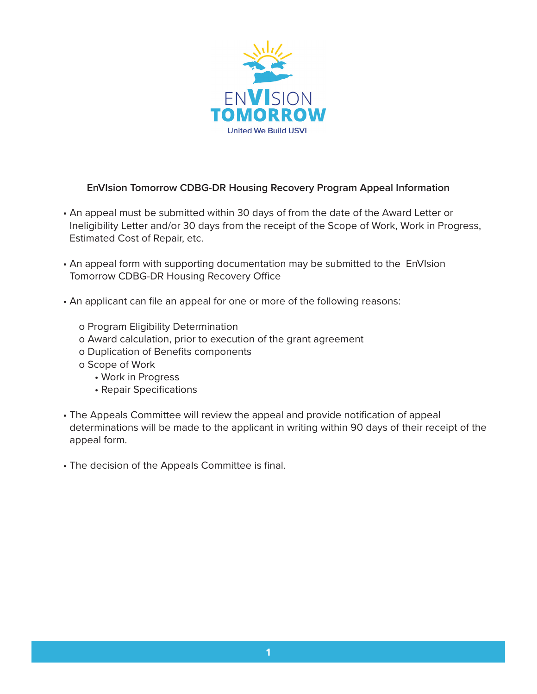

## **EnVIsion Tomorrow CDBG-DR Housing Recovery Program Appeal Information**

- An appeal must be submitted within 30 days of from the date of the Award Letter or Ineligibility Letter and/or 30 days from the receipt of the Scope of Work, Work in Progress, Estimated Cost of Repair, etc.
- An appeal form with supporting documentation may be submitted to the EnVIsion Tomorrow CDBG-DR Housing Recovery Office
- An applicant can file an appeal for one or more of the following reasons:
	- o Program Eligibility Determination
	- o Award calculation, prior to execution of the grant agreement
	- o Duplication of Benefits components
	- o Scope of Work
		- Work in Progress
		- Repair Specifications
- The Appeals Committee will review the appeal and provide notification of appeal determinations will be made to the applicant in writing within 90 days of their receipt of the appeal form.
- The decision of the Appeals Committee is final.